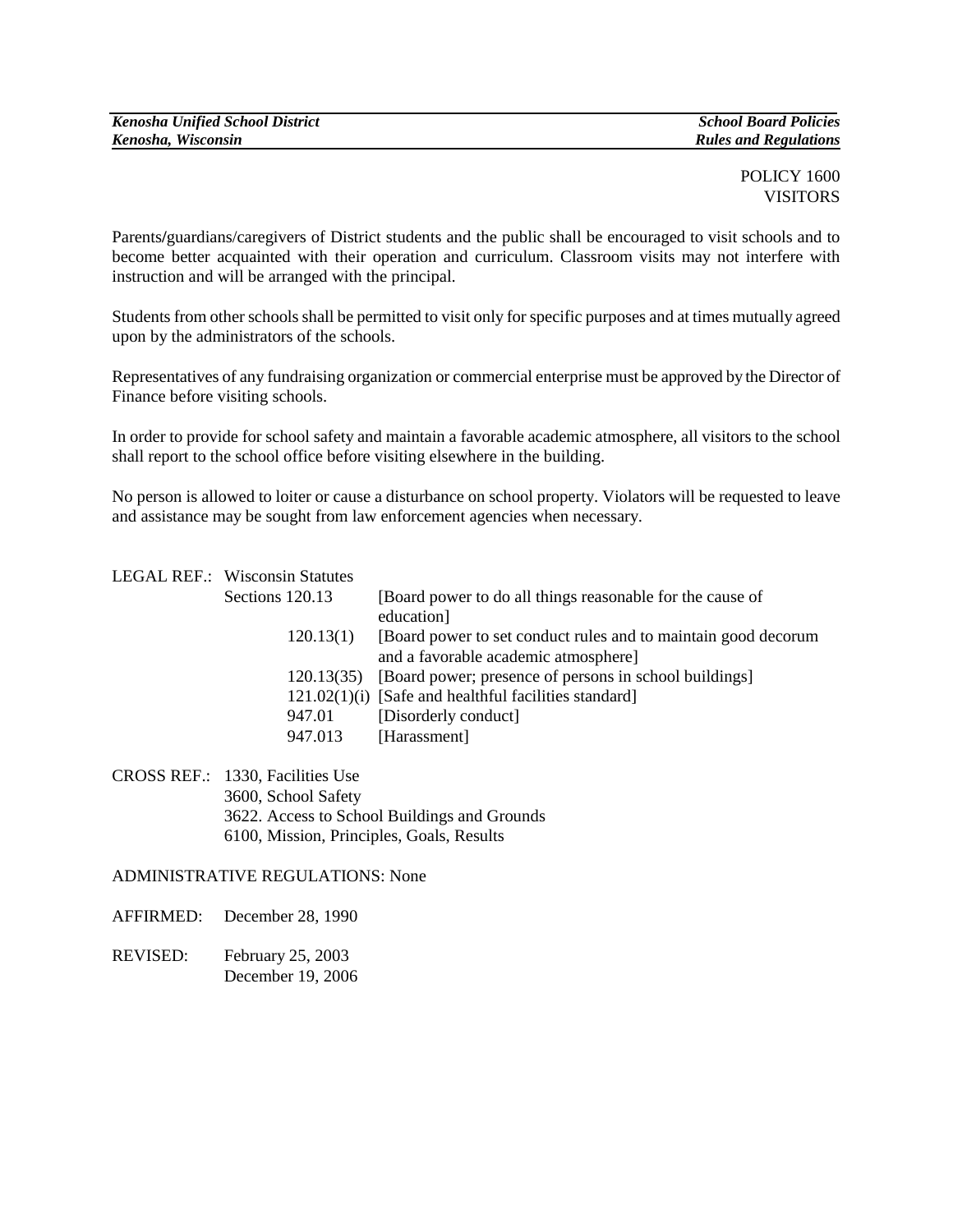## POLICY 1600 VISITORS

Parents**/**guardians/caregivers of District students and the public shall be encouraged to visit schools and to become better acquainted with their operation and curriculum. Classroom visits may not interfere with instruction and will be arranged with the principal.

Students from other schools shall be permitted to visit only for specific purposes and at times mutually agreed upon by the administrators of the schools.

Representatives of any fundraising organization or commercial enterprise must be approved by the Director of Finance before visiting schools.

In order to provide for school safety and maintain a favorable academic atmosphere, all visitors to the school shall report to the school office before visiting elsewhere in the building.

No person is allowed to loiter or cause a disturbance on school property. Violators will be requested to leave and assistance may be sought from law enforcement agencies when necessary.

| <b>LEGAL REF.: Wisconsin Statutes</b> |                                                                   |
|---------------------------------------|-------------------------------------------------------------------|
| Sections 120.13                       | [Board power to do all things reasonable for the cause of         |
|                                       | education]                                                        |
| 120.13(1)                             | [Board power to set conduct rules and to maintain good decorum    |
|                                       | and a favorable academic atmosphere]                              |
|                                       | 120.13(35) [Board power; presence of persons in school buildings] |
|                                       | $121.02(1)(i)$ [Safe and healthful facilities standard]           |
| 947.01                                | [Disorderly conduct]                                              |
| 947.013                               | [Harassment]                                                      |
|                                       |                                                                   |

CROSS REF.: 1330, Facilities Use 3600, School Safety 3622. Access to School Buildings and Grounds 6100, Mission, Principles, Goals, Results

ADMINISTRATIVE REGULATIONS: None

AFFIRMED: December 28, 1990

REVISED: February 25, 2003 December 19, 2006